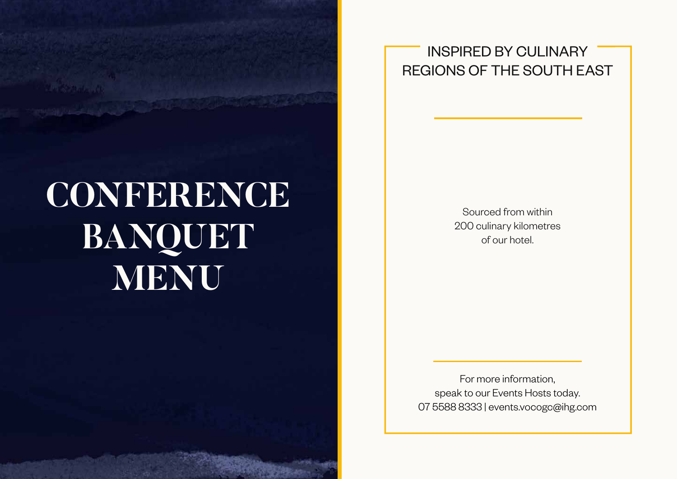

**ASSAULT** 

INSPIRED BY CULINARY REGIONS OF THE SOUTH EAST

> Sourced from within 200 culinary kilometres of our hotel.

For more information, speak to our Events Hosts today. 07 5588 8333 | events.vocogc@ihg.com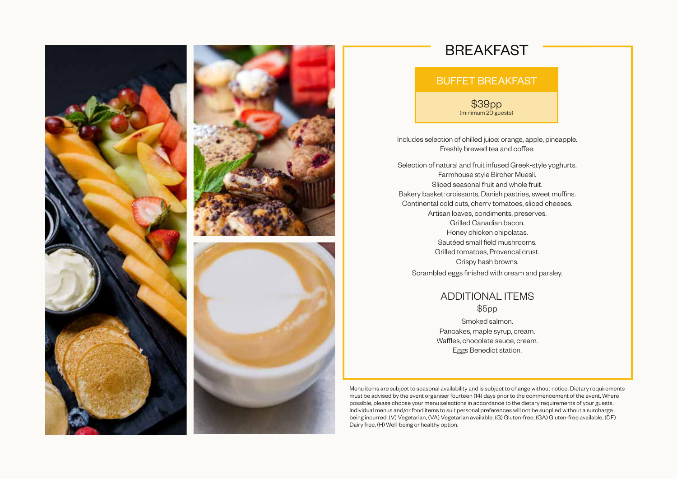



## BREAKFAST

## BUFFET BREAKFAST

\$39pp (minimum 20 guests)

Includes selection of chilled juice: orange, apple, pineapple. Freshly brewed tea and coffee.

Selection of natural and fruit infused Greek-style yoghurts. Farmhouse style Bircher Muesli. Sliced seasonal fruit and whole fruit. Bakery basket: croissants, Danish pastries, sweet muffins. Continental cold cuts, cherry tomatoes, sliced cheeses. Artisan loaves, condiments, preserves. Grilled Canadian bacon. Honey chicken chipolatas. Sautéed small field mushrooms. Grilled tomatoes, Provencal crust. Crispy hash browns. Scrambled eggs finished with cream and parsley.

> ADDITIONAL ITEMS \$5pp Smoked salmon.

Pancakes, maple syrup, cream. Waffles, chocolate sauce, cream. Eggs Benedict station.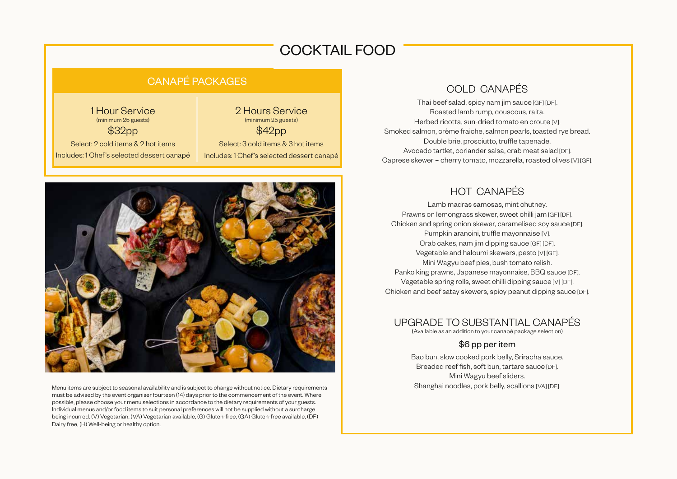## COCKTAIL FOOD

## CANAPÉ PACKAGES

1 Hour Service (minimum 25 guests) \$32pp Select: 2 cold items & 2 hot items Includes: 1 Chef's selected dessert canapé

2 Hours Service (minimum 25 guests) \$42pp Select: 3 cold items & 3 hot items Includes: 1 Chef's selected dessert canapé

Menu items are subject to seasonal availability and is subject to change without notice. Dietary requirements must be advised by the event organiser fourteen (14) days prior to the commencement of the event. Where possible, please choose your menu selections in accordance to the dietary requirements of your guests. Individual menus and/or food items to suit personal preferences will not be supplied without a surcharge being incurred. (V) Vegetarian, (VA) Vegetarian available, (G) Gluten-free, (GA) Gluten-free available, (DF) Dairy free, (H) Well-being or healthy option.

## COLD CANAPÉS

Thai beef salad, spicy nam jim sauce [GF] [DF]. Roasted lamb rump, couscous, raita. Herbed ricotta, sun-dried tomato en croute [V]. Smoked salmon, crème fraiche, salmon pearls, toasted rye bread. Double brie, prosciutto, truffle tapenade. Avocado tartlet, coriander salsa, crab meat salad [DF]. Caprese skewer – cherry tomato, mozzarella, roasted olives [V] [GF].

## HOT CANAPÉS

Lamb madras samosas, mint chutney. Prawns on lemongrass skewer, sweet chilli jam [GF] [DF]. Chicken and spring onion skewer, caramelised soy sauce [DF]. Pumpkin arancini, truffle mayonnaise [V]. Crab cakes, nam jim dipping sauce [GF] [DF]. Vegetable and haloumi skewers, pesto [V] [GF]. Mini Wagyu beef pies, bush tomato relish. Panko king prawns, Japanese mayonnaise, BBQ sauce [DF]. Vegetable spring rolls, sweet chilli dipping sauce [V] [DF]. Chicken and beef satay skewers, spicy peanut dipping sauce [DF].

## UPGRADE TO SUBSTANTIAL CANAPÉS

(Available as an addition to your canapé package selection)

### \$6 pp per item

Bao bun, slow cooked pork belly, Sriracha sauce. Breaded reef fish, soft bun, tartare sauce [DF]. Mini Wagyu beef sliders. Shanghai noodles, pork belly, scallions [VA] [DF].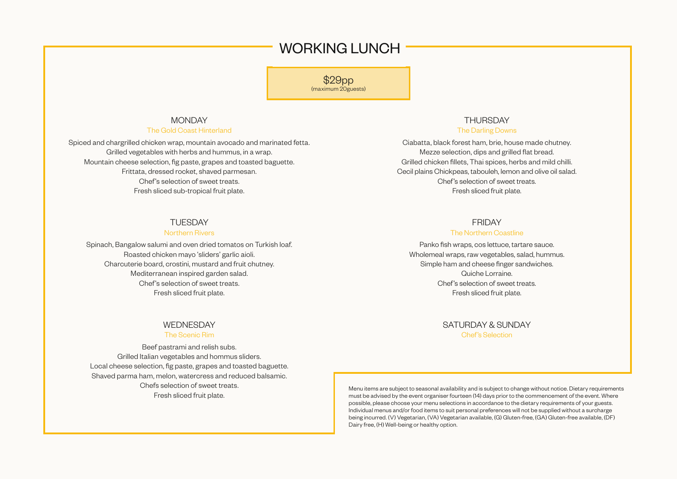## WORKING LUNCH

\$29pp (maximum 20guests)

#### MONDAY

#### The Gold Coast Hinterland

Spiced and chargrilled chicken wrap, mountain avocado and marinated fetta. Grilled vegetables with herbs and hummus, in a wrap. Mountain cheese selection, fig paste, grapes and toasted baguette. Frittata, dressed rocket, shaved parmesan. Chef's selection of sweet treats. Fresh sliced sub-tropical fruit plate.

#### **TUESDAY**

#### Northern Rivers

Spinach, Bangalow salumi and oven dried tomatos on Turkish loaf. Roasted chicken mayo 'sliders' garlic aioli. Charcuterie board, crostini, mustard and fruit chutney. Mediterranean inspired garden salad. Chef's selection of sweet treats. Fresh sliced fruit plate.

#### WEDNESDAY

#### The Scenic Rim

Beef pastrami and relish subs. Grilled Italian vegetables and hommus sliders. Local cheese selection, fig paste, grapes and toasted baguette. Shaved parma ham, melon, watercress and reduced balsamic. Chefs selection of sweet treats. Fresh sliced fruit plate.

## THURSDAY

#### The Darling Downs

Ciabatta, black forest ham, brie, house made chutney. Mezze selection, dips and grilled flat bread. Grilled chicken fillets, Thai spices, herbs and mild chilli. Cecil plains Chickpeas, tabouleh, lemon and olive oil salad. Chef 's selection of sweet treats. Fresh sliced fruit plate.

#### FRIDAY

#### The Northern Coastline

Panko fish wraps, cos lettuce, tartare sauce. Wholemeal wraps, raw vegetables, salad, hummus. Simple ham and cheese finger sandwiches. Quiche Lorraine. Chef 's selection of sweet treats. Fresh sliced fruit plate.

#### SATURDAY & SUNDAY Chef 's Selection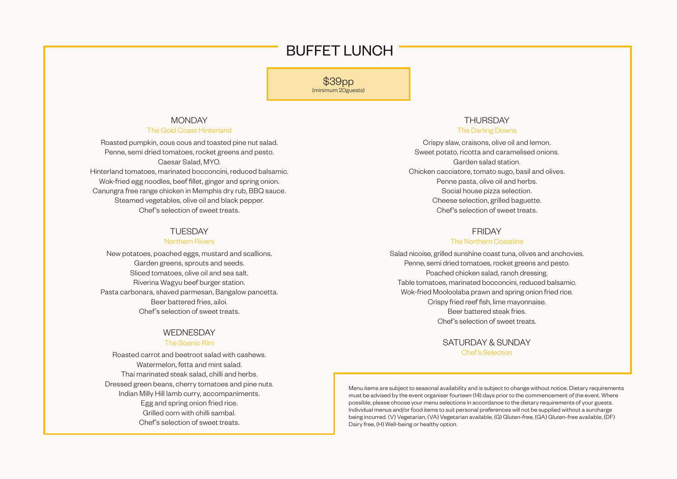## BUFFET LUNCH

\$39pp (minimum 20guests)

## MONDAY

#### The Gold Coast Hinterland

Roasted pumpkin, cous cous and toasted pine nut salad. Penne, semi dried tomatoes, rocket greens and pesto. Caesar Salad, MYO. Hinterland tomatoes, marinated bocconcini, reduced balsamic. Wok-fried egg noodles, beef fillet, ginger and spring onion. Canungra free range chicken in Memphis dry rub, BBQ sauce. Steamed vegetables, olive oil and black pepper. Chef's selection of sweet treats.

#### **TUESDAY**

#### Northern Rivers

New potatoes, poached eggs, mustard and scallions. Garden greens, sprouts and seeds. Sliced tomatoes, olive oil and sea salt. Riverina Wagyu beef burger station. Pasta carbonara, shaved parmesan, Bangalow pancetta. Beer battered fries, ailoi. Chef's selection of sweet treats.

#### WEDNESDAY

#### The Scenic Rim

Roasted carrot and beetroot salad with cashews. Watermelon, fetta and mint salad. Thai marinated steak salad, chilli and herbs. Dressed green beans, cherry tomatoes and pine nuts. Indian Milly Hill lamb curry, accompaniments. Egg and spring onion fried rice. Grilled corn with chilli sambal. Chef's selection of sweet treats.

#### THURSDAY The Darling Downs

Crispy slaw, craisons, olive oil and lemon. Sweet potato, ricotta and caramelised onions. Garden salad station. Chicken cacciatore, tomato sugo, basil and olives. Penne pasta, olive oil and herbs. Social house pizza selection. Cheese selection, grilled baguette. Chef's selection of sweet treats.

#### FRIDAY

#### The Northern Coastline

Salad nicoise, grilled sunshine coast tuna, olives and anchovies. Penne, semi dried tomatoes, rocket greens and pesto. Poached chicken salad, ranch dressing. Table tomatoes, marinated bocconcini, reduced balsamic. Wok-fried Mooloolaba prawn and spring onion fried rice. Crispy fried reef fish, lime mayonnaise. Beer battered steak fries. Chef 's selection of sweet treats.

> SATURDAY & SUNDAY Chef 's Selection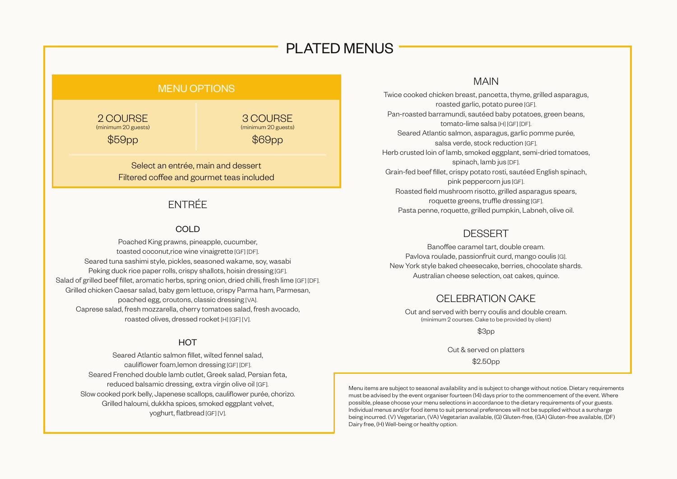## PLATED MENUS

## MENU OPTIONS

2 COURSE (minimum 20 guests)

\$59pp

3 COURSE (minimum 20 guests) \$69pp

Select an entrée, main and dessert Filtered coffee and gourmet teas included

## ENTRÉE

### COLD

Poached King prawns, pineapple, cucumber, toasted coconut,rice wine vinaigrette [GF] [DF]. Seared tuna sashimi style, pickles, seasoned wakame, soy, wasabi Peking duck rice paper rolls, crispy shallots, hoisin dressing [GF]. Salad of grilled beef fillet, aromatic herbs, spring onion, dried chilli, fresh lime [GF] [DF]. Grilled chicken Caesar salad, baby gem lettuce, crispy Parma ham, Parmesan, poached egg, croutons, classic dressing [VA]. Caprese salad, fresh mozzarella, cherry tomatoes salad, fresh avocado, roasted olives, dressed rocket [H] [GF] [V].

#### **HOT**

Seared Atlantic salmon fillet, wilted fennel salad, cauliflower foam,lemon dressing [GF] [DF]. Seared Frenched double lamb cutlet, Greek salad, Persian feta, reduced balsamic dressing, extra virgin olive oil [GF]. Slow cooked pork belly, Japenese scallops, cauliflower purée, chorizo. Grilled haloumi, dukkha spices, smoked eggplant velvet, yoghurt, flatbread [GF] [V].

## MAIN

Twice cooked chicken breast, pancetta, thyme, grilled asparagus, roasted garlic, potato puree [GF]. Pan-roasted barramundi, sautéed baby potatoes, green beans, tomato-lime salsa [H] [GF] [DF]. Seared Atlantic salmon, asparagus, garlic pomme purée, salsa verde, stock reduction [GF]. Herb crusted loin of lamb, smoked eggplant, semi-dried tomatoes, spinach, lamb jus [DF]. Grain-fed beef fillet, crispy potato rosti, sautéed English spinach, pink peppercorn jus [GF]. Roasted field mushroom risotto, grilled asparagus spears, roquette greens, truffle dressing [GF]. Pasta penne, roquette, grilled pumpkin, Labneh, olive oil.

## **DESSERT**

Banoffee caramel tart, double cream. Pavlova roulade, passionfruit curd, mango coulis [G]. New York style baked cheesecake, berries, chocolate shards. Australian cheese selection, oat cakes, quince.

## CELEBRATION CAKE

Cut and served with berry coulis and double cream. (minimum 2 courses. Cake to be provided by client)

\$3pp

Cut & served on platters

\$2.50pp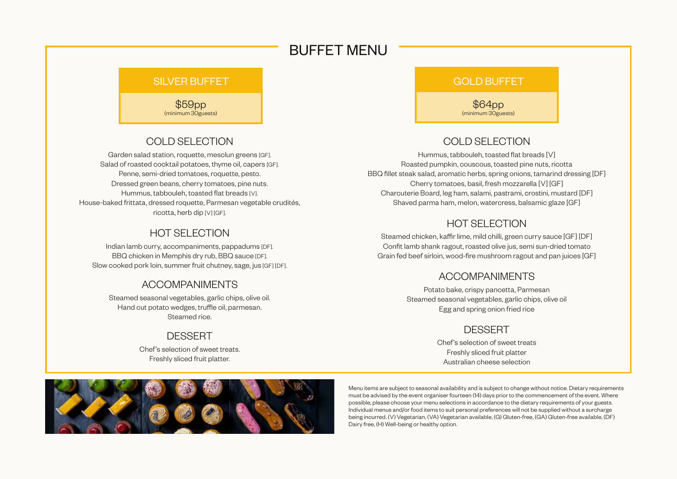## BUFFET MENU

## SILVER BUFFET GOLD BUFFET

\$59pp (minimum 30guests)

## COLD SELECTION

Garden salad station, roquette, mesclun greens [GF]. Salad of roasted cocktail potatoes, thyme oil, capers [GF]. Penne, semi-dried tomatoes, roquette, pesto. Dressed green beans, cherry tomatoes, pine nuts. Hummus, tabbouleh, toasted flat breads [V]. House-baked frittata, dressed roquette, Parmesan vegetable crudités, ricotta, herb dip [V] [GF].

## HOT SELECTION

Indian lamb curry, accompaniments, pappadums [DF]. BBQ chicken in Memphis dry rub, BBQ sauce [DF]. Slow cooked pork loin, summer fruit chutney, sage, jus [GF] [DF].

## ACCOMPANIMENTS

Steamed seasonal vegetables, garlic chips, olive oil. Hand cut potato wedges, truffle oil, parmesan. Steamed rice.

## **DESSERT**

Chef's selection of sweet treats. Freshly sliced fruit platter.

\$64pp (minimum 30guests)

## COLD SELECTION

Hummus, tabbouleh, toasted flat breads [V] Roasted pumpkin, couscous, toasted pine nuts, ricotta BBQ fillet steak salad, aromatic herbs, spring onions, tamarind dressing [DF] Cherry tomatoes, basil, fresh mozzarella [V] [GF] Charcuterie Board, leg ham, salami, pastrami, crostini, mustard [DF] Shaved parma ham, melon, watercress, balsamic glaze [GF]

## HOT SELECTION

Steamed chicken, kaffir lime, mild chilli, green curry sauce [GF] [DF] Confit lamb shank ragout, roasted olive jus, semi sun-dried tomato Grain fed beef sirloin, wood-fire mushroom ragout and pan juices [GF]

## ACCOMPANIMENTS

Potato bake, crispy pancetta, Parmesan Steamed seasonal vegetables, garlic chips, olive oil Egg and spring onion fried rice

## **DESSERT**

Chef's selection of sweet treats Freshly sliced fruit platter Australian cheese selection

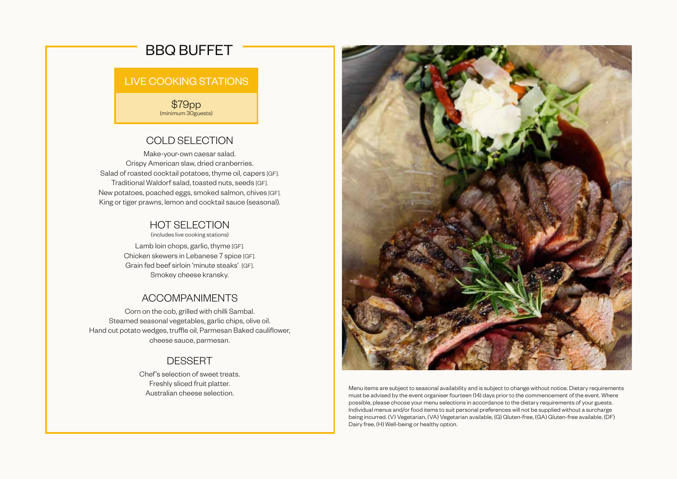## BBQ BUFFET

## LIVE COOKING STATIONS

\$79pp (minimum 30guests)

## COLD SELECTION

Make-your-own caesar salad. Crispy American slaw, dried cranberries. Salad of roasted cocktail potatoes, thyme oil, capers [GF]. Traditional Waldorf salad, toasted nuts, seeds [GF]. New potatoes, poached eggs, smoked salmon, chives [GF]. King or tiger prawns, lemon and cocktail sauce (seasonal).

## HOT SELECTION

(includes live cooking stations)

Lamb loin chops, garlic, thyme [GF]. Chicken skewers in Lebanese 7 spice [GF]. Grain fed beef sirloin 'minute steaks' [GF]. Smokey cheese kransky.

## ACCOMPANIMENTS

Corn on the cob, grilled with chilli Sambal. Steamed seasonal vegetables, garlic chips, olive oil. Hand cut potato wedges, truffle oil, Parmesan Baked cauliflower, cheese sauce, parmesan.

## **DESSERT**

Chef's selection of sweet treats. Freshly sliced fruit platter. Australian cheese selection.

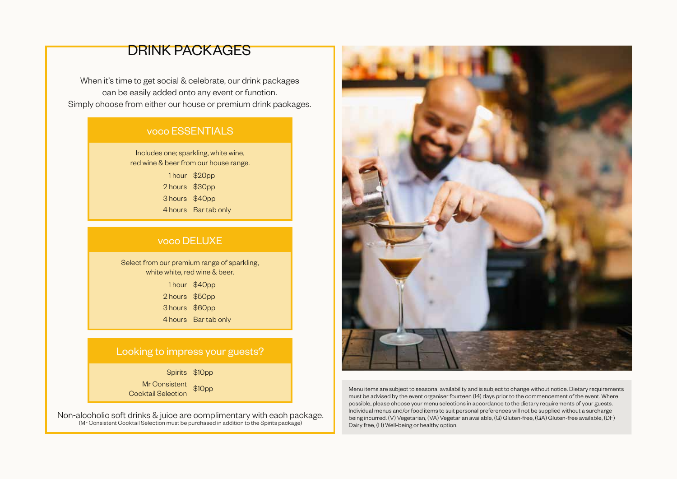## DRINK PACKAGES

When it's time to get social & celebrate, our drink packages can be easily added onto any event or function. Simply choose from either our house or premium drink packages.

## voco ESSENTIALS

Includes one; sparkling, white wine, red wine & beer from our house range.

> 1 hour \$20pp 2 hours \$30pp 3 hours \$40pp 4 hours Bar tab only

## voco DELUXE

Select from our premium range of sparkling, white white, red wine & beer.

> 1 hour \$40pp 2 hours \$50pp 3 hours \$60pp 4 hours Bar tab only

## Looking to impress your guests?

Spirits \$10pp

Mr Consistent

Non-alcoholic soft drinks & juice are complimentary with each package. (Mr Consistent Cocktail Selection must be purchased in addition to the Spirits package)